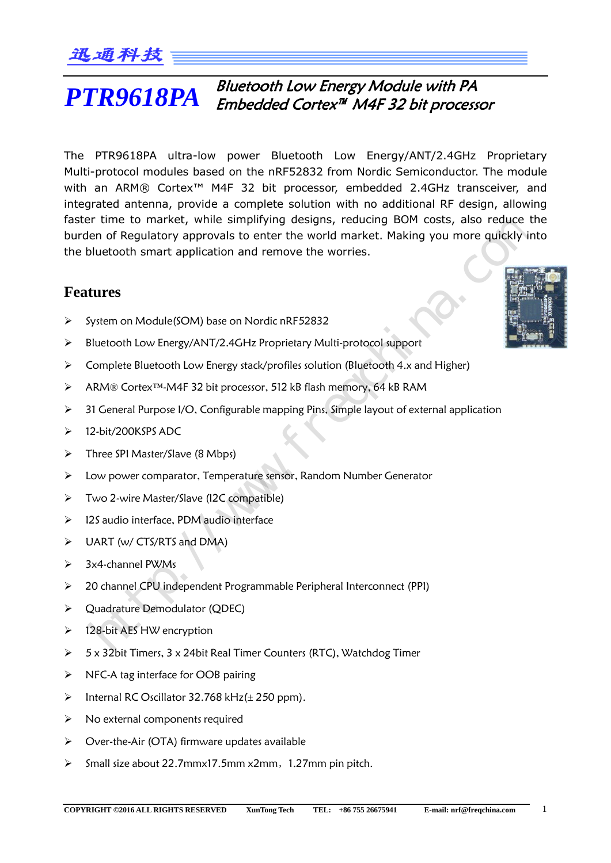#### Bluetooth Low Energy Module with PA Embedded Cortex™ M4F 32 bit processor *PTR9618PA*

The PTR9618PA ultra-low power Bluetooth Low Energy/ANT/2.4GHz Proprietary Multi-protocol modules based on the nRF52832 from Nordic Semiconductor. The module with an ARM® Cortex<sup>™</sup> M4F 32 bit processor, embedded 2.4GHz transceiver, and integrated antenna, provide a complete solution with no additional RF design, allowing faster time to market, while simplifying designs, reducing BOM costs, also reduce the burden of Regulatory approvals to enter the world market. Making you more quickly into the bluetooth smart application and remove the worries. glated antentine, protote a complete southout with not acouthout an testant, and<br>ere time to market, while simplifying designs, reducing BDM costs, also reduce the<br>ten of Regulatory approvals to enter the word market. Maki

## **Features**

- System on Module(SOM) base on Nordic nRF52832
- Bluetooth Low Energy/ANT/2.4GHz Proprietary Multi-protocol support
- $\triangleright$  Complete Bluetooth Low Energy stack/profiles solution (Bluetooth 4.x and Higher)
- ARM® Cortex™-M4F 32 bit processor, 512 kB flash memory, 64 kB RAM
- > 31 General Purpose I/O, Configurable mapping Pins, Simple layout of external application
- > 12-bit/200KSPS ADC
- $\triangleright$  Three SPI Master/Slave (8 Mbps)
- Low power comparator, Temperature sensor, Random Number Generator
- Two 2-wire Master/Slave (I2C compatible)
- $\geq$  12S audio interface, PDM audio interface
- $\triangleright$  UART (w/ CTS/RTS and DMA)
- $\geq$  3x4-channel PWMs
- 20 channel CPU independent Programmable Peripheral Interconnect (PPI)
- Quadrature Demodulator (QDEC)
- $\triangleright$  128-bit AES HW encryption
- $>$  5 x 32bit Timers, 3 x 24bit Real Timer Counters (RTC), Watchdog Timer
- $\triangleright$  NFC-A tag interface for OOB pairing
- $\triangleright$  Internal RC Oscillator 32.768 kHz( $\pm$  250 ppm).
- $\triangleright$  No external components required
- Over-the-Air (OTA) firmware updates available
- $\triangleright$  Small size about 22.7mmx17.5mm x2mm, 1.27mm pin pitch.

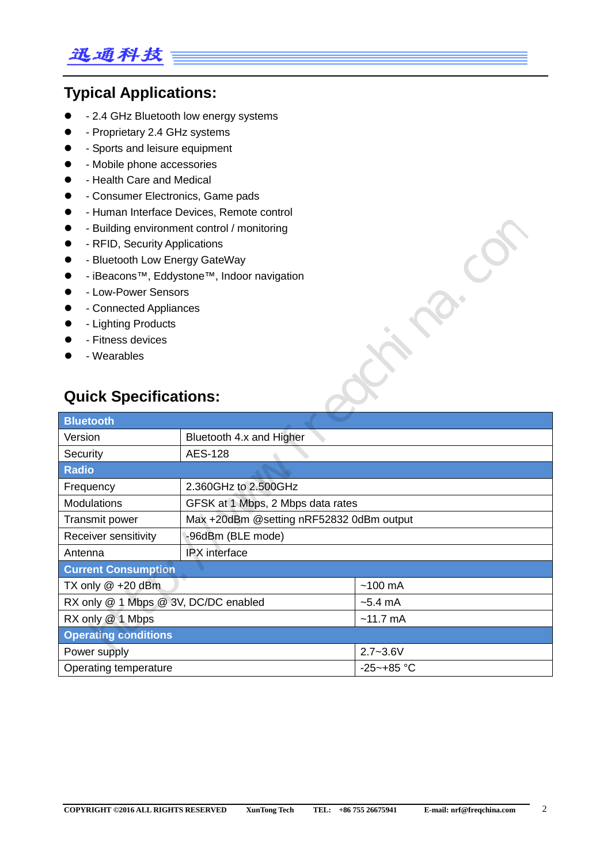# 迅通科技

# **Typical Applications:**

- 2.4 GHz Bluetooth low energy systems
- - Proprietary 2.4 GHz systems
- - Sports and leisure equipment
- Mobile phone accessories
- - Health Care and Medical
- Consumer Electronics, Game pads
- Human Interface Devices, Remote control
- Building environment control / monitoring
- RFID, Security Applications
- **•** Bluetooth Low Energy GateWay
- iBeacons™, Eddystone™, Indoor navigation
- **•** Low-Power Sensors
- Connected Appliances
- Lighting Products
- Fitness devices
- Wearables

# **Quick Specifications:**

| - Building environment control / monitoring<br>- RFID, Security Applications<br>- Bluetooth Low Energy GateWay<br>- iBeacons™, Eddystone™, Indoor navigation<br>- Low-Power Sensors<br>- Connected Appliances<br>- Lighting Products<br>- Fitness devices<br>- Wearables<br><b>Quick Specifications:</b> |                                          |                   |  |
|----------------------------------------------------------------------------------------------------------------------------------------------------------------------------------------------------------------------------------------------------------------------------------------------------------|------------------------------------------|-------------------|--|
| <b>Bluetooth</b>                                                                                                                                                                                                                                                                                         |                                          |                   |  |
| Version                                                                                                                                                                                                                                                                                                  | Bluetooth 4.x and Higher                 |                   |  |
| Security                                                                                                                                                                                                                                                                                                 | <b>AES-128</b>                           |                   |  |
| <b>Radio</b>                                                                                                                                                                                                                                                                                             |                                          |                   |  |
| Frequency                                                                                                                                                                                                                                                                                                | 2.360GHz to 2.500GHz                     |                   |  |
| Modulations                                                                                                                                                                                                                                                                                              | GFSK at 1 Mbps, 2 Mbps data rates        |                   |  |
| Transmit power                                                                                                                                                                                                                                                                                           | Max +20dBm @setting nRF52832 0dBm output |                   |  |
| Receiver sensitivity                                                                                                                                                                                                                                                                                     | -96dBm (BLE mode)                        |                   |  |
| Antenna                                                                                                                                                                                                                                                                                                  | IPX interface                            |                   |  |
| <b>Current Consumption</b>                                                                                                                                                                                                                                                                               |                                          |                   |  |
| TX only @ +20 dBm                                                                                                                                                                                                                                                                                        |                                          | $~100 \text{ mA}$ |  |
| RX only @ 1 Mbps @ 3V, DC/DC enabled                                                                                                                                                                                                                                                                     |                                          | $-5.4 \text{ mA}$ |  |
| RX only @ 1 Mbps<br>$~11.7 \text{ mA}$                                                                                                                                                                                                                                                                   |                                          |                   |  |
| <b>Operating conditions</b>                                                                                                                                                                                                                                                                              |                                          |                   |  |
| $2.7 - 3.6V$<br>Power supply                                                                                                                                                                                                                                                                             |                                          |                   |  |
| $-25 - +85$ °C<br>Operating temperature                                                                                                                                                                                                                                                                  |                                          |                   |  |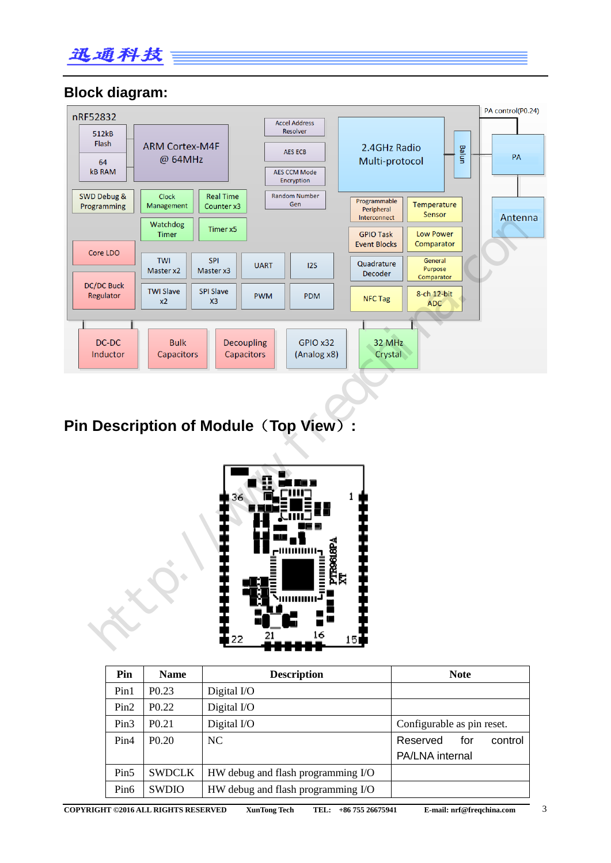

#### **Block diagram:**



# **Pin Description of Module**(**Top View**)**:**



| Pin              | <b>Name</b>       | <b>Description</b>                 | <b>Note</b>                |
|------------------|-------------------|------------------------------------|----------------------------|
| Pin1             | P <sub>0.23</sub> | Digital I/O                        |                            |
| Pin2             | P <sub>0.22</sub> | Digital I/O                        |                            |
| Pin <sub>3</sub> | P <sub>0.21</sub> | Digital I/O                        | Configurable as pin reset. |
| Pin4             | P <sub>0.20</sub> | NC                                 | control<br>Reserved<br>for |
|                  |                   |                                    | PA/LNA internal            |
| Pin <sub>5</sub> | <b>SWDCLK</b>     | HW debug and flash programming I/O |                            |
| Pin <sub>6</sub> | <b>SWDIO</b>      | HW debug and flash programming I/O |                            |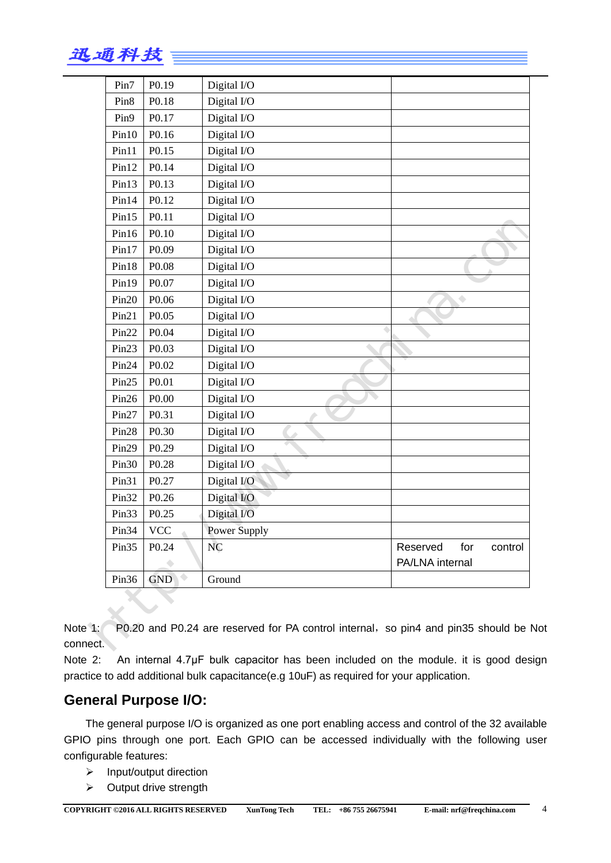| s<br>Æ7 :<br>77 T |  |
|-------------------|--|
|-------------------|--|

| Pin7              | P <sub>0.19</sub> | Digital I/O  |                            |
|-------------------|-------------------|--------------|----------------------------|
| Pin <sub>8</sub>  | P <sub>0.18</sub> | Digital I/O  |                            |
| Pin9              | P <sub>0.17</sub> | Digital I/O  |                            |
| Pin10             | P <sub>0.16</sub> | Digital I/O  |                            |
| Pin11             | P <sub>0.15</sub> | Digital I/O  |                            |
| Pin12             | P <sub>0.14</sub> | Digital I/O  |                            |
| Pin13             | P <sub>0.13</sub> | Digital I/O  |                            |
| Pin14             | P <sub>0.12</sub> | Digital I/O  |                            |
| Pin15             | P <sub>0.11</sub> | Digital I/O  |                            |
| Pin16             | P <sub>0.10</sub> | Digital I/O  |                            |
| Pin17             | P <sub>0.09</sub> | Digital I/O  |                            |
| Pin18             | P <sub>0.08</sub> | Digital I/O  |                            |
| Pin19             | P <sub>0.07</sub> | Digital I/O  |                            |
| Pin20             | P <sub>0.06</sub> | Digital I/O  | $\bigcirc$                 |
| Pin21             | P <sub>0.05</sub> | Digital I/O  |                            |
| Pin <sub>22</sub> | P <sub>0.04</sub> | Digital I/O  |                            |
| Pin23             | P <sub>0.03</sub> | Digital I/O  |                            |
| Pin <sub>24</sub> | P <sub>0.02</sub> | Digital I/O  |                            |
| Pin25             | P <sub>0.01</sub> | Digital I/O  |                            |
| Pin <sub>26</sub> | P <sub>0.00</sub> | Digital I/O  |                            |
| Pin <sub>27</sub> | P <sub>0.31</sub> | Digital I/O  |                            |
| Pin <sub>28</sub> | P <sub>0.30</sub> | Digital I/O  |                            |
| Pin29             | P <sub>0.29</sub> | Digital I/O  |                            |
| Pin <sub>30</sub> | P <sub>0.28</sub> | Digital I/O  |                            |
| Pin31             | P <sub>0.27</sub> | Digital I/O  |                            |
| Pin <sub>32</sub> | P <sub>0.26</sub> | Digital I/O  |                            |
| Pin <sub>33</sub> | P <sub>0.25</sub> | Digital I/O  |                            |
| Pin <sub>34</sub> | <b>VCC</b>        | Power Supply |                            |
| Pin <sub>35</sub> | P <sub>0.24</sub> | <b>NC</b>    | Reserved<br>for<br>control |
|                   |                   |              | PA/LNA internal            |
|                   | GND               | Ground       |                            |

Note 1: P0.20 and P0.24 are reserved for PA control internal, so pin4 and pin35 should be Not connect.

Note 2: An internal 4.7μF bulk capacitor has been included on the module. it is good design practice to add additional bulk capacitance(e.g 10uF) as required for your application.

#### **General Purpose I/O:**

The general purpose I/O is organized as one port enabling access and control of the 32 available GPIO pins through one port. Each GPIO can be accessed individually with the following user configurable features:

- $\triangleright$  Input/output direction
- $\triangleright$  Output drive strength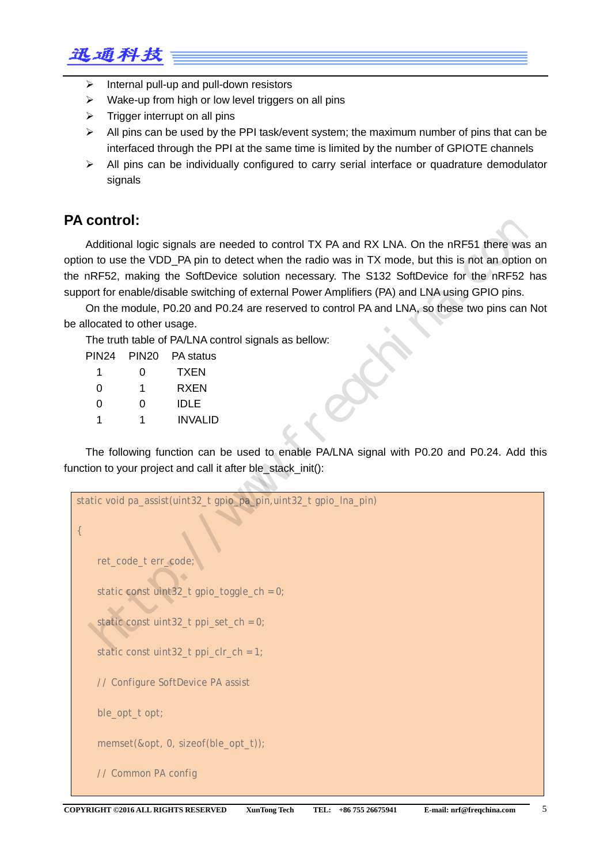

- $\triangleright$  Internal pull-up and pull-down resistors
- $\triangleright$  Wake-up from high or low level triggers on all pins
- $\triangleright$  Trigger interrupt on all pins
- $\triangleright$  All pins can be used by the PPI task/event system; the maximum number of pins that can be interfaced through the PPI at the same time is limited by the number of GPIOTE channels
- All pins can be individually configured to carry serial interface or quadrature demodulator signals

### **PA control:**

Additional logic signals are needed to control TX PA and RX LNA. On the nRF51 there was an option to use the VDD\_PA pin to detect when the radio was in TX mode, but this is not an option on the nRF52, making the SoftDevice solution necessary. The S132 SoftDevice for the nRF52 has support for enable/disable switching of external Power Amplifiers (PA) and LNA using GPIO pins.

On the module, P0.20 and P0.24 are reserved to control PA and LNA, so these two pins can Not be allocated to other usage.

The truth table of PA/LNA control signals as bellow:

| <b>PIN24</b> | <b>PIN20</b> | PA status   |
|--------------|--------------|-------------|
| 1            | 0            | <b>TXEN</b> |
| 0            | 1            | RXEN        |
| O            | O            | <b>IDLE</b> |
|              | 1            | INVALID     |

The following function can be used to enable PA/LNA signal with P0.20 and P0.24. Add this function to your project and call it after ble stack init():

```
static void pa_assist(uint32_t gpio_pa_pin,uint32_t gpio_lna_pin)
{ 
      ret_code_t err_code;
      static const uint32_t gpio_toggle_ch = 0;
      static const uint32_t ppi_set_ch = 0;
      static const uint32_t ppi_clr_ch = 1;
      // Configure SoftDevice PA assist
     ble opt t opt;
      memset(&opt, 0, sizeof(ble_opt_t));
      // Common PA config
  CONTOI:<br>
Additional logic signals are needed to control TX PA and RX LNA. On the nRF51 there was an<br>
In to use the VDD_PA pin to detect when the radio was in TX mode, but this is not an option or<br>
INRFS2, making the Soft
```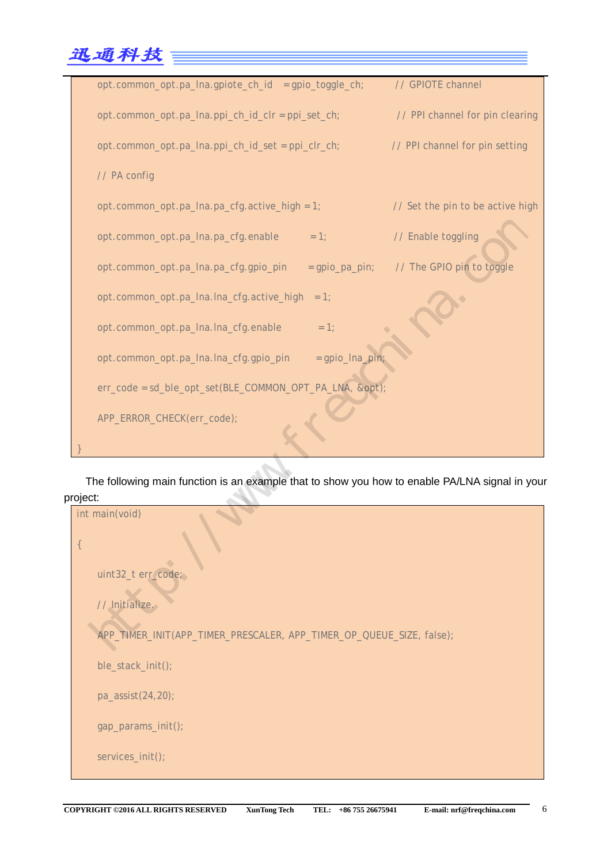

The following main function is an example that to show you how to enable PA/LNA signal in your project:

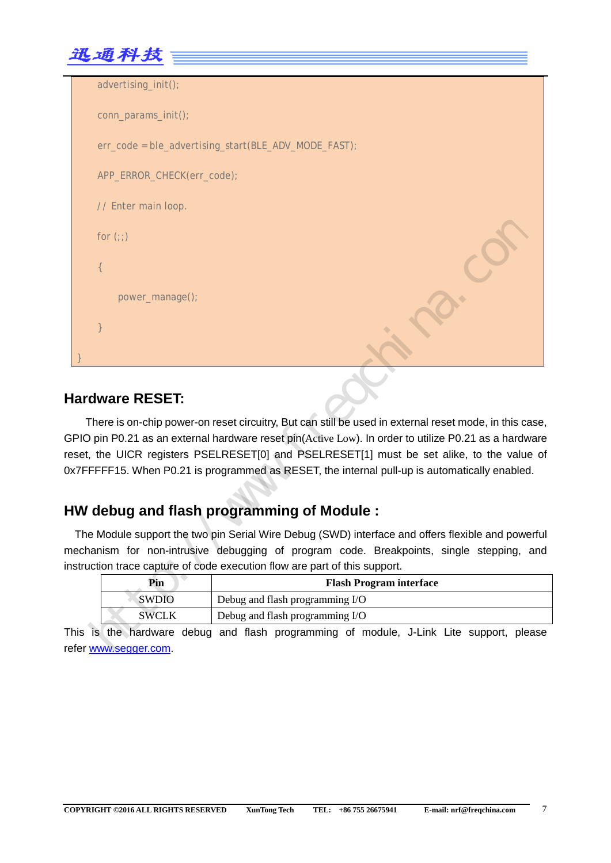

| advertising_init();        |                                                                                                                                                                                                                                                                                                                                                                                                           |
|----------------------------|-----------------------------------------------------------------------------------------------------------------------------------------------------------------------------------------------------------------------------------------------------------------------------------------------------------------------------------------------------------------------------------------------------------|
| conn_params_init();        |                                                                                                                                                                                                                                                                                                                                                                                                           |
|                            | err_code = ble_advertising_start(BLE_ADV_MODE_FAST);                                                                                                                                                                                                                                                                                                                                                      |
| APP_ERROR_CHECK(err_code); |                                                                                                                                                                                                                                                                                                                                                                                                           |
| // Enter main loop.        |                                                                                                                                                                                                                                                                                                                                                                                                           |
| for $(:)$                  |                                                                                                                                                                                                                                                                                                                                                                                                           |
|                            |                                                                                                                                                                                                                                                                                                                                                                                                           |
| power_manage();            |                                                                                                                                                                                                                                                                                                                                                                                                           |
|                            |                                                                                                                                                                                                                                                                                                                                                                                                           |
|                            |                                                                                                                                                                                                                                                                                                                                                                                                           |
| ardware RESET:             |                                                                                                                                                                                                                                                                                                                                                                                                           |
|                            | There is on-chip power-on reset circuitry, But can still be used in external reset mode, in this case,<br>PIO pin P0.21 as an external hardware reset pin(Active Low). In order to utilize P0.21 as a hardware<br>set, the UICR registers PSELRESET[0] and PSELRESET[1] must be set alike, to the value of<br>7FFFFF15. When P0.21 is programmed as RESET, the internal pull-up is automatically enabled. |
|                            | W debug and flash programming of Module:                                                                                                                                                                                                                                                                                                                                                                  |
|                            | The Module support the two pin Serial Wire Debug (SWD) interface and offers flexible and powerful<br>echanism for non-intrusive debugging of program code. Breakpoints, single stepping, and<br>struction trace capture of code execution flow are part of this support.                                                                                                                                  |
| Pin                        | <b>Flash Program interface</b>                                                                                                                                                                                                                                                                                                                                                                            |
| <b>SWDIO</b>               | Debug and flash programming I/O                                                                                                                                                                                                                                                                                                                                                                           |
| <b>SWCLK</b>               | Debug and flash programming I/O                                                                                                                                                                                                                                                                                                                                                                           |
|                            | his is the hardware debug and flash programming of module, J-Link Lite support, please                                                                                                                                                                                                                                                                                                                    |
| fer www.segger.com.        |                                                                                                                                                                                                                                                                                                                                                                                                           |

#### **Hardware RESET:**

### **HW debug and flash programming of Module :**

| Pin          | <b>Flash Program interface</b>  |  |
|--------------|---------------------------------|--|
| <b>SWDIO</b> | Debug and flash programming I/O |  |
| <b>SWCLK</b> | Debug and flash programming I/O |  |

This is the hardware debug and flash programming of module, J-Link Lite support, please refer www.segger.com.